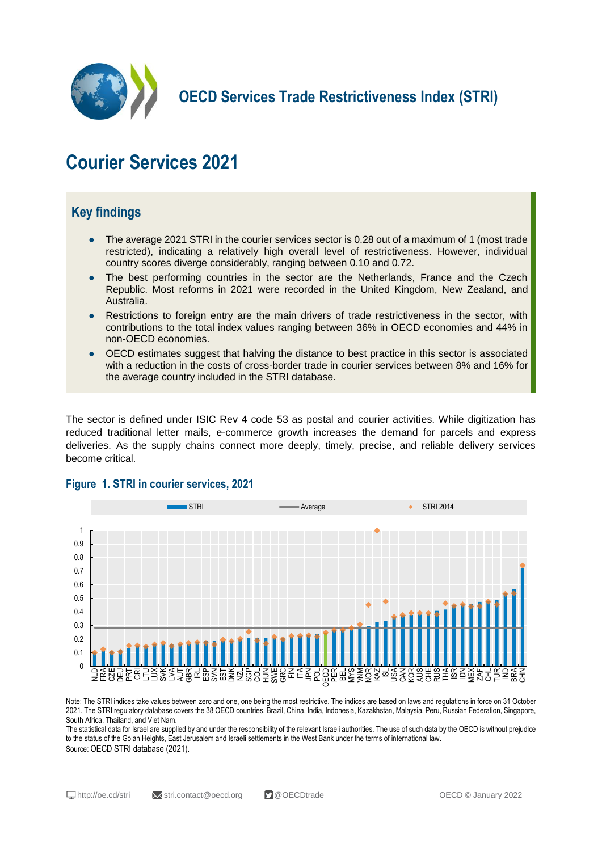

**OECD Services Trade Restrictiveness Index (STRI)**

# **Courier Services 2021**

## **Key findings**

- The average 2021 STRI in the courier services sector is 0.28 out of a maximum of 1 (most trade restricted), indicating a relatively high overall level of restrictiveness. However, individual country scores diverge considerably, ranging between 0.10 and 0.72.
- The best performing countries in the sector are the Netherlands, France and the Czech Republic. Most reforms in 2021 were recorded in the United Kingdom, New Zealand, and Australia.
- Restrictions to foreign entry are the main drivers of trade restrictiveness in the sector, with contributions to the total index values ranging between 36% in OECD economies and 44% in non-OECD economies.
- OECD estimates suggest that halving the distance to best practice in this sector is associated with a reduction in the costs of cross-border trade in courier services between 8% and 16% for the average country included in the STRI database.

The sector is defined under ISIC Rev 4 code 53 as postal and courier activities. While digitization has reduced traditional letter mails, e-commerce growth increases the demand for parcels and express deliveries. As the supply chains connect more deeply, timely, precise, and reliable delivery services become critical.



#### **Figure 1. STRI in courier services, 2021**

Note: The STRI indices take values between zero and one, one being the most restrictive. The indices are based on laws and regulations in force on 31 October 2021. The STRI regulatory database covers the 38 OECD countries, Brazil, China, India, Indonesia, Kazakhstan, Malaysia, Peru, Russian Federation, Singapore, South Africa, Thailand, and Viet Nam.

The statistical data for Israel are supplied by and under the responsibility of the relevant Israeli authorities. The use of such data by the OECD is without prejudice to the status of the Golan Heights, East Jerusalem and Israeli settlements in the West Bank under the terms of international law. Source: OECD STRI database (2021).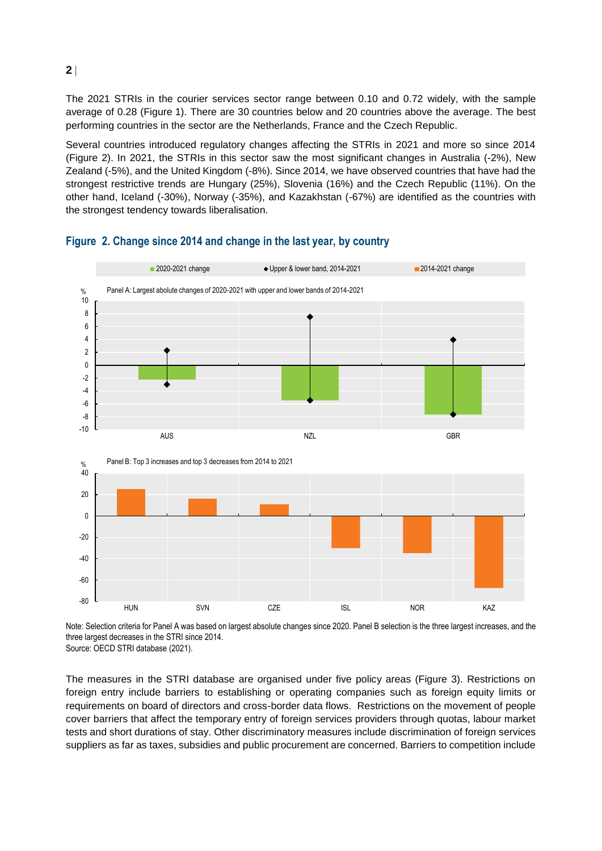The 2021 STRIs in the courier services sector range between 0.10 and 0.72 widely, with the sample average of 0.28 (Figure 1). There are 30 countries below and 20 countries above the average. The best performing countries in the sector are the Netherlands, France and the Czech Republic.

Several countries introduced regulatory changes affecting the STRIs in 2021 and more so since 2014 (Figure 2). In 2021, the STRIs in this sector saw the most significant changes in Australia (-2%), New Zealand (-5%), and the United Kingdom (-8%). Since 2014, we have observed countries that have had the strongest restrictive trends are Hungary (25%), Slovenia (16%) and the Czech Republic (11%). On the other hand, Iceland (-30%), Norway (-35%), and Kazakhstan (-67%) are identified as the countries with the strongest tendency towards liberalisation.



#### **Figure 2. Change since 2014 and change in the last year, by country**

Note: Selection criteria for Panel A was based on largest absolute changes since 2020. Panel B selection is the three largest increases, and the three largest decreases in the STRI since 2014. Source: OECD STRI database (2021).

The measures in the STRI database are organised under five policy areas (Figure 3). Restrictions on foreign entry include barriers to establishing or operating companies such as foreign equity limits or requirements on board of directors and cross-border data flows. Restrictions on the movement of people cover barriers that affect the temporary entry of foreign services providers through quotas, labour market tests and short durations of stay. Other discriminatory measures include discrimination of foreign services suppliers as far as taxes, subsidies and public procurement are concerned. Barriers to competition include

**2**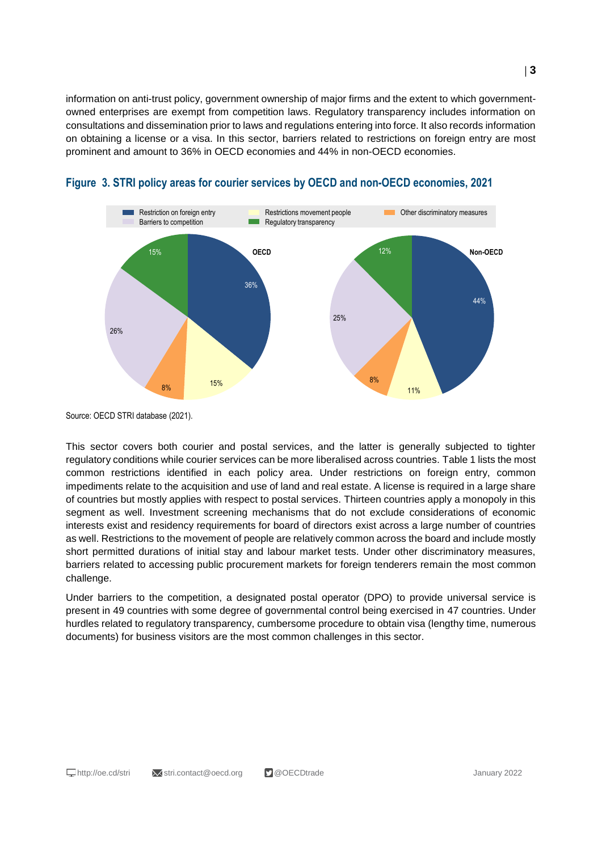information on anti-trust policy, government ownership of major firms and the extent to which governmentowned enterprises are exempt from competition laws. Regulatory transparency includes information on consultations and dissemination prior to laws and regulations entering into force. It also records information on obtaining a license or a visa. In this sector, barriers related to restrictions on foreign entry are most prominent and amount to 36% in OECD economies and 44% in non-OECD economies.





Source: OECD STRI database (2021).

This sector covers both courier and postal services, and the latter is generally subjected to tighter regulatory conditions while courier services can be more liberalised across countries. Table 1 lists the most common restrictions identified in each policy area. Under restrictions on foreign entry, common impediments relate to the acquisition and use of land and real estate. A license is required in a large share of countries but mostly applies with respect to postal services. Thirteen countries apply a monopoly in this segment as well. Investment screening mechanisms that do not exclude considerations of economic interests exist and residency requirements for board of directors exist across a large number of countries as well. Restrictions to the movement of people are relatively common across the board and include mostly short permitted durations of initial stay and labour market tests. Under other discriminatory measures, barriers related to accessing public procurement markets for foreign tenderers remain the most common challenge.

Under barriers to the competition, a designated postal operator (DPO) to provide universal service is present in 49 countries with some degree of governmental control being exercised in 47 countries. Under hurdles related to regulatory transparency, cumbersome procedure to obtain visa (lengthy time, numerous documents) for business visitors are the most common challenges in this sector.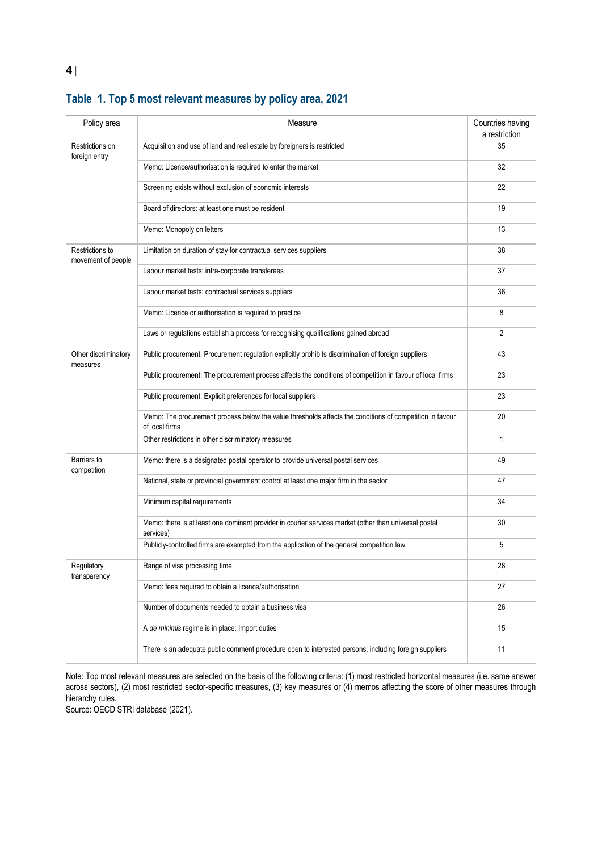| Policy area                           | Measure                                                                                                                    | Countries having<br>a restriction |
|---------------------------------------|----------------------------------------------------------------------------------------------------------------------------|-----------------------------------|
| Restrictions on<br>foreign entry      | Acquisition and use of land and real estate by foreigners is restricted                                                    | 35                                |
|                                       | Memo: Licence/authorisation is required to enter the market                                                                | 32                                |
|                                       | Screening exists without exclusion of economic interests                                                                   | 22                                |
|                                       | Board of directors: at least one must be resident                                                                          | 19                                |
|                                       | Memo: Monopoly on letters                                                                                                  | 13                                |
| Restrictions to<br>movement of people | Limitation on duration of stay for contractual services suppliers                                                          | 38                                |
|                                       | Labour market tests: intra-corporate transferees                                                                           | 37                                |
|                                       | Labour market tests: contractual services suppliers                                                                        | 36                                |
|                                       | Memo: Licence or authorisation is required to practice                                                                     | 8                                 |
|                                       | Laws or regulations establish a process for recognising qualifications gained abroad                                       | 2                                 |
| Other discriminatory<br>measures      | Public procurement: Procurement regulation explicitly prohibits discrimination of foreign suppliers                        | 43                                |
|                                       | Public procurement: The procurement process affects the conditions of competition in favour of local firms                 | 23                                |
|                                       | Public procurement: Explicit preferences for local suppliers                                                               | 23                                |
|                                       | Memo: The procurement process below the value thresholds affects the conditions of competition in favour<br>of local firms | 20                                |
|                                       | Other restrictions in other discriminatory measures                                                                        | 1                                 |
| Barriers to<br>competition            | Memo: there is a designated postal operator to provide universal postal services                                           | 49                                |
|                                       | National, state or provincial government control at least one major firm in the sector                                     | 47                                |
|                                       | Minimum capital requirements                                                                                               | 34                                |
|                                       | Memo: there is at least one dominant provider in courier services market (other than universal postal<br>services)         | 30                                |
|                                       | Publicly-controlled firms are exempted from the application of the general competition law                                 | 5                                 |
| Regulatory<br>transparency            | Range of visa processing time                                                                                              | 28                                |
|                                       | Memo: fees required to obtain a licence/authorisation                                                                      | 27                                |
|                                       | Number of documents needed to obtain a business visa                                                                       | 26                                |
|                                       | A de minimis regime is in place: Import duties                                                                             | 15                                |
|                                       | There is an adequate public comment procedure open to interested persons, including foreign suppliers                      | 11                                |

## **Table 1. Top 5 most relevant measures by policy area, 2021**

Note: Top most relevant measures are selected on the basis of the following criteria: (1) most restricted horizontal measures (i.e. same answer across sectors), (2) most restricted sector-specific measures, (3) key measures or (4) memos affecting the score of other measures through hierarchy rules.

Source: OECD STRI database (2021).